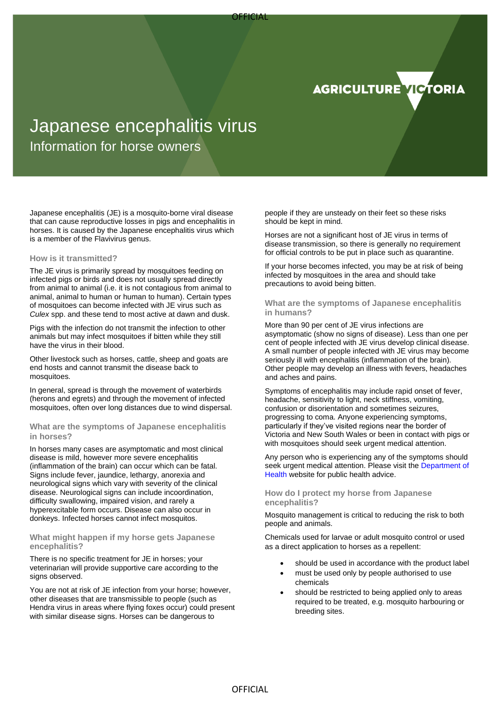



# Japanese encephalitis virus

Information for horse owners

Japanese encephalitis (JE) is a mosquito-borne viral disease that can cause reproductive losses in pigs and encephalitis in horses. It is caused by the Japanese encephalitis virus which is a member of the Flavivirus genus.

#### **How is it transmitted?**

The JE virus is primarily spread by mosquitoes feeding on infected pigs or birds and does not usually spread directly from animal to animal (i.e. it is not contagious from animal to animal, animal to human or human to human). Certain types of mosquitoes can become infected with JE virus such as *Culex* spp. and these tend to most active at dawn and dusk.

Pigs with the infection do not transmit the infection to other animals but may infect mosquitoes if bitten while they still have the virus in their blood.

Other livestock such as horses, cattle, sheep and goats are end hosts and cannot transmit the disease back to mosquitoes.

In general, spread is through the movement of waterbirds (herons and egrets) and through the movement of infected mosquitoes, often over long distances due to wind dispersal.

#### **What are the symptoms of Japanese encephalitis in horses?**

In horses many cases are asymptomatic and most clinical disease is mild, however more severe encephalitis (inflammation of the brain) can occur which can be fatal. Signs include fever, jaundice, lethargy, anorexia and neurological signs which vary with severity of the clinical disease. Neurological signs can include incoordination, difficulty swallowing, impaired vision, and rarely a hyperexcitable form occurs. Disease can also occur in donkeys. Infected horses cannot infect mosquitos.

#### **What might happen if my horse gets Japanese encephalitis?**

There is no specific treatment for JE in horses; your veterinarian will provide supportive care according to the signs observed.

You are not at risk of JE infection from your horse; however, other diseases that are transmissible to people (such as Hendra virus in areas where flying foxes occur) could present with similar disease signs. Horses can be dangerous to

people if they are unsteady on their feet so these risks should be kept in mind.

Horses are not a significant host of JE virus in terms of disease transmission, so there is generally no requirement for official controls to be put in place such as quarantine.

If your horse becomes infected, you may be at risk of being infected by mosquitoes in the area and should take precautions to avoid being bitten.

## **What are the symptoms of Japanese encephalitis in humans?**

More than 90 per cent of JE virus infections are asymptomatic (show no signs of disease). Less than one per cent of people infected with JE virus develop clinical disease. A small number of people infected with JE virus may become seriously ill with encephalitis (inflammation of the brain). Other people may develop an illness with fevers, headaches and aches and pains.

Symptoms of encephalitis may include rapid onset of fever, headache, sensitivity to light, neck stiffness, vomiting, confusion or disorientation and sometimes seizures, progressing to coma. Anyone experiencing symptoms, particularly if they've visited regions near the border of Victoria and New South Wales or been in contact with pigs or with mosquitoes should seek urgent medical attention.

Any person who is experiencing any of the symptoms should seek urgent medical attention. Please visit the [Department of](https://www.health.vic.gov.au/infectious-diseases/information-for-the-public-japanese-encephalitis-in-victoria)  [Health](https://www.health.vic.gov.au/infectious-diseases/information-for-the-public-japanese-encephalitis-in-victoria) website for public health advice.

## **How do I protect my horse from Japanese encephalitis?**

Mosquito management is critical to reducing the risk to both people and animals.

Chemicals used for larvae or adult mosquito control or used as a direct application to horses as a repellent:

- should be used in accordance with the product label
- must be used only by people authorised to use chemicals
- should be restricted to being applied only to areas required to be treated, e.g. mosquito harbouring or breeding sites.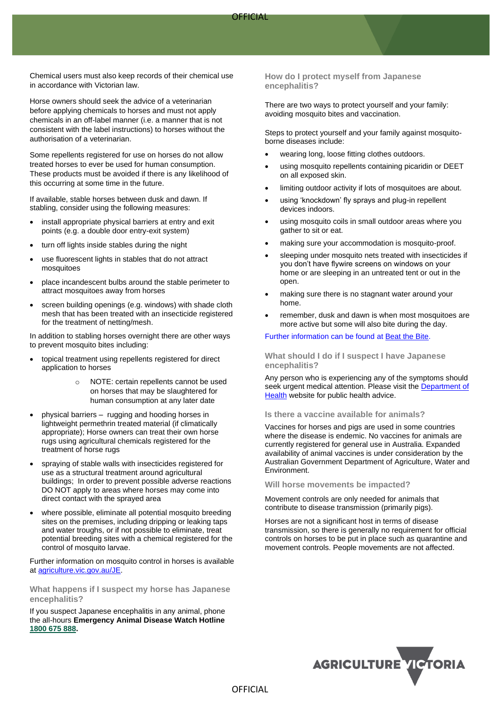Chemical users must also keep records of their chemical use in accordance with Victorian law.

Horse owners should seek the advice of a veterinarian before applying chemicals to horses and must not apply chemicals in an off-label manner (i.e. a manner that is not consistent with the label instructions) to horses without the authorisation of a veterinarian.

Some repellents registered for use on horses do not allow treated horses to ever be used for human consumption. These products must be avoided if there is any likelihood of this occurring at some time in the future.

If available, stable horses between dusk and dawn. If stabling, consider using the following measures:

- install appropriate physical barriers at entry and exit points (e.g. a double door entry-exit system)
- turn off lights inside stables during the night
- use fluorescent lights in stables that do not attract mosquitoes
- place incandescent bulbs around the stable perimeter to attract mosquitoes away from horses
- screen building openings (e.g. windows) with shade cloth mesh that has been treated with an insecticide registered for the treatment of netting/mesh.

In addition to stabling horses overnight there are other ways to prevent mosquito bites including:

- topical treatment using repellents registered for direct application to horses
	- o NOTE: certain repellents cannot be used on horses that may be slaughtered for human consumption at any later date
- physical barriers rugging and hooding horses in lightweight permethrin treated material (if climatically appropriate); Horse owners can treat their own horse rugs using agricultural chemicals registered for the treatment of horse rugs
- spraying of stable walls with insecticides registered for use as a structural treatment around agricultural buildings; In order to prevent possible adverse reactions DO NOT apply to areas where horses may come into direct contact with the sprayed area
- where possible, eliminate all potential mosquito breeding sites on the premises, including dripping or leaking taps and water troughs, or if not possible to eliminate, treat potential breeding sites with a chemical registered for the control of mosquito larvae.

Further information on mosquito control in horses is available at [agriculture.vic.gov.au/JE.](https://agriculture.vic.gov.au/biosecurity/animal-diseases/general-livestock-diseases/japanese-encephalitis/japanese-encephalitis-in-horses)

**What happens if I suspect my horse has Japanese encephalitis?**

If you suspect Japanese encephalitis in any animal, phone the all-hours **Emergency Animal Disease Watch Hotline [1800 675 888.](tel:1800675888)**

**How do I protect myself from Japanese encephalitis?**

There are two ways to protect yourself and your family: avoiding mosquito bites and vaccination.

Steps to protect yourself and your family against mosquitoborne diseases include:

- wearing long, loose fitting clothes outdoors.
- using mosquito repellents containing picaridin or DEET on all exposed skin.
- limiting outdoor activity if lots of mosquitoes are about.
- using 'knockdown' fly sprays and plug-in repellent devices indoors.
- using mosquito coils in small outdoor areas where you gather to sit or eat.
- making sure your accommodation is mosquito-proof.
- sleeping under mosquito nets treated with insecticides if you don't have flywire screens on windows on your home or are sleeping in an untreated tent or out in the open.
- making sure there is no stagnant water around your home.
- remember, dusk and dawn is when most mosquitoes are more active but some will also bite during the day.

#### Further information can be found at [Beat the Bite.](https://www.betterhealth.vic.gov.au/campaigns/beat-bite)

**What should I do if I suspect I have Japanese encephalitis?**

Any person who is experiencing any of the symptoms should seek urgent medical attention. Please visit the Department of [Health](https://www.health.vic.gov.au/infectious-diseases/information-for-the-public-japanese-encephalitis-in-victoria) website for public health advice.

#### **Is there a vaccine available for animals?**

Vaccines for horses and pigs are used in some countries where the disease is endemic. No vaccines for animals are currently registered for general use in Australia. Expanded availability of animal vaccines is under consideration by the Australian Government Department of Agriculture, Water and Environment.

#### **Will horse movements be impacted?**

Movement controls are only needed for animals that contribute to disease transmission (primarily pigs).

Horses are not a significant host in terms of disease transmission, so there is generally no requirement for official controls on horses to be put in place such as quarantine and movement controls. People movements are not affected.